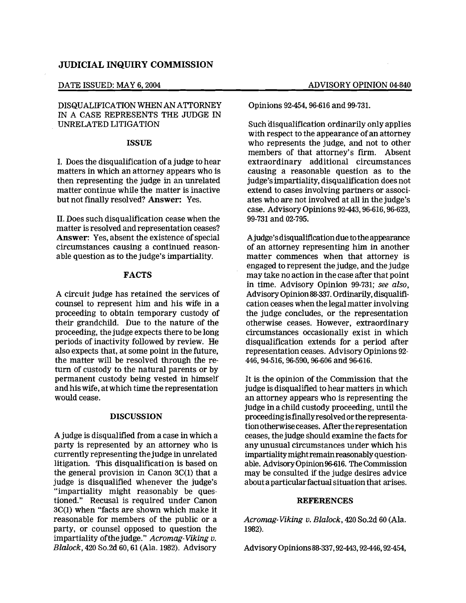# JUDICIAL INQUIRY COMMISSION

# DISQUALIFICATION WHEN AN ATTORNEY IN A CASE REPRESENTS THE JUDGE IN UNRELATED LITIGATION

### ISSUE

I. Does the disqualification of a judge to hear matters in which an attorney appears who is then representing the judge in an unrelated matter continue while the matter is inactive but not finally resolved? Answer: Yes.

II. Does such disqualification cease when the matter is resolved and representation ceases? Answer: Yes, absent the existence of special circumstances causing a continued reasonable question as to the judge's impartiality.

## FACTS

A circuit judge has retained the services of counsel to represent him and his wife in a proceeding to obtain temporary custody of their grandchild. Due to the nature of the proceeding, the judge expects there to be long periods of inactivity followed by review. He also expects that, at some point in the future, the matter will be resolved through the return of custody to the natural parents or by permanent custody being vested in himself and his wife, at which time the representation would cease.

## DISCUSSION

A judge is disqUalified from a case in which a party is represented by an attorney who is currently representing the judge in unrelated litigation. This disqualification is based on the general provision in Canon  $3C(1)$  that a judge is disqUalified whenever the judge's "impartiality might reasonably be questioned." Recusal is required under Canon 3C(I) when "facts are shown which make it reasonable for members of the public or a party, or counsel opposed to question the impartiality ofthe judge." Acromag-Viking v. Blalock, 420 So.2d 60, 61 (Ala. 1982). Advisory

Opinions 92-454, 96-616 and 99-731.

Such disqualification ordinarily only applies with respect to the appearance of an attorney who represents the judge, and not to other members of that attorney's firm. Absent extraordinary additional circumstances causing a reasonable question as to the judge's impartiality, disqualification does not extend to cases involving partners or associates who are not involved at all in the judge's case. Advisory Opinions 92-443, 96-616, 96-623, 99-731 and 02-795.

Ajudge's disqualification due tothe appearance of an attorney representing him in another matter commences when that attorney is engaged to represent the judge, and the judge may take no action in the case after that point in time. Advisory Opinion 99-731; see also, Advisory Opinion88-337. Ordinarily, disqualification ceases when the legal matter involving the judge concludes, or the representation otherwise ceases. However, extraordinary circumstances occasionally exist in which disqualification extends for a period after representation ceases. Advisory Opinions 92 446, 94-516, 96-590, 96-606 and 96-616.

It is the opinion of the Commission that the judge is disqualified to hear matters in which an attorney appears who is representing the judge in a child custody proceeding, until the proceedingisfmallyresolvedorthe representationotherwise ceases. Afterthe representation ceases, the judge should examine the facts for any unusual circumstances under which his impartiality might remain reasonably questionable. AdvisoryOpinion96-616. TheCommission may be consulted if the judge desires advice about a particular factual situation that arises.

## **REFERENCES**

Acromag-Viking v. Blalock, 420 So.2d 60 (Ala. 1982).

Advisory Opinions88-337,92-443,92-446,92-454,